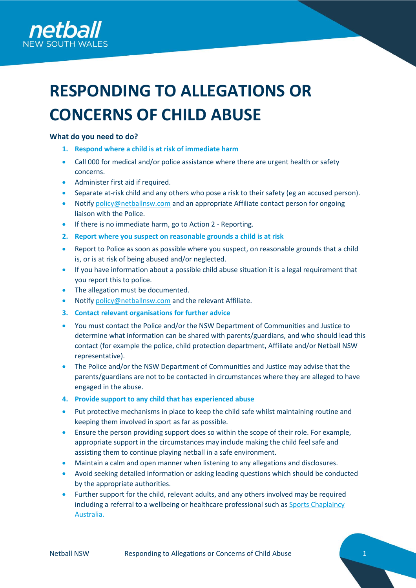

# **RESPONDING TO ALLEGATIONS OR CONCERNS OF CHILD ABUSE**

## **What do you need to do?**

- **1. Respond where a child is at risk of immediate harm**
- Call 000 for medical and/or police assistance where there are urgent health or safety concerns.
- Administer first aid if required.
- Separate at-risk child and any others who pose a risk to their safety (eg an accused person).
- Notify [policy@netballnsw.com](mailto:policy@netballnsw.com) and an appropriate Affiliate contact person for ongoing liaison with the Police.
- If there is no immediate harm, go to Action 2 Reporting.
- **2. Report where you suspect on reasonable grounds a child is at risk**
- Report to Police as soon as possible where you suspect, on reasonable grounds that a child is, or is at risk of being abused and/or neglected.
- If you have information about a possible child abuse situation it is a legal requirement that you report this to police.
- The allegation must be documented.
- Notify [policy@netballnsw.com](mailto:policy@netballnsw.com) and the relevant Affiliate.
- **3. Contact relevant organisations for further advice**
- You must contact the Police and/or the NSW Department of Communities and Justice to determine what information can be shared with parents/guardians, and who should lead this contact (for example the police, child protection department, Affiliate and/or Netball NSW representative).
- The Police and/or the NSW Department of Communities and Justice may advise that the parents/guardians are not to be contacted in circumstances where they are alleged to have engaged in the abuse.
- **4. Provide support to any child that has experienced abuse**
- Put protective mechanisms in place to keep the child safe whilst maintaining routine and keeping them involved in sport as far as possible.
- Ensure the person providing support does so within the scope of their role. For example, appropriate support in the circumstances may include making the child feel safe and assisting them to continue playing netball in a safe environment.
- Maintain a calm and open manner when listening to any allegations and disclosures.
- Avoid seeking detailed information or asking leading questions which should be conducted by the appropriate authorities.
- Further support for the child, relevant adults, and any others involved may be required including a referral to a wellbeing or healthcare professional such as Sports Chaplaincy [Australia.](https://mysca.sportschaplaincy.com.au/Home/Default.aspx)